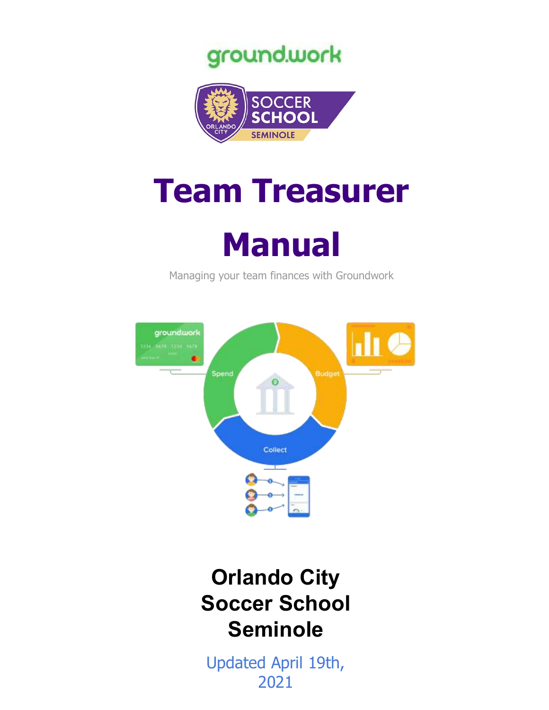



# **Team Treasurer**



Managing your team finances with Groundwork



## **Orlando City Soccer School Seminole**

<span id="page-0-0"></span>Updated April 19th, 2021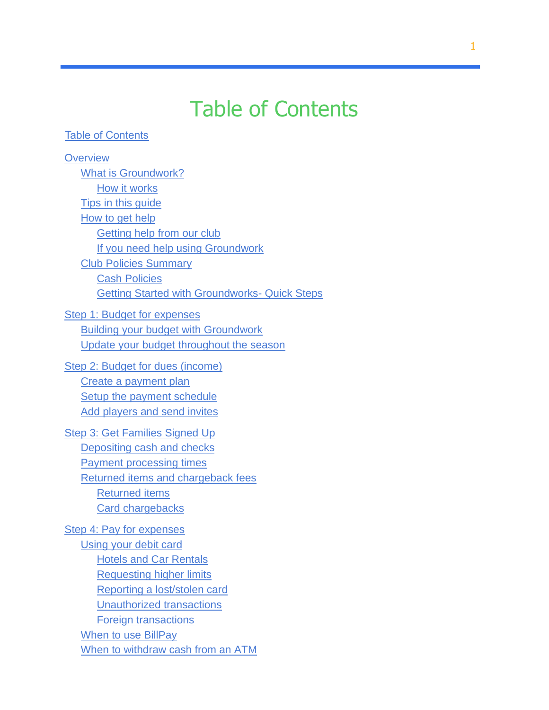## Table of Contents

#### <span id="page-1-0"></span>Table of [Contents](#page-0-0)

| <b>Overview</b>                                      |
|------------------------------------------------------|
| <b>What is Groundwork?</b>                           |
| How it works                                         |
| <b>Tips in this guide</b>                            |
| How to get help                                      |
| Getting help from our club                           |
| If you need help using Groundwork                    |
| <b>Club Policies Summary</b>                         |
| <b>Cash Policies</b>                                 |
| <b>Getting Started with Groundworks- Quick Steps</b> |
| <b>Step 1: Budget for expenses</b>                   |
| <b>Building your budget with Groundwork</b>          |
| Update your budget throughout the season             |
| Step 2: Budget for dues (income)                     |
| Create a payment plan                                |
| <b>Setup the payment schedule</b>                    |
| <b>Add players and send invites</b>                  |
| Step 3: Get Families Signed Up                       |
| Depositing cash and checks                           |
| <b>Payment processing times</b>                      |
| Returned items and chargeback fees                   |
| <b>Returned items</b>                                |
| <b>Card chargebacks</b>                              |
| Step 4: Pay for expenses                             |
| Using your debit card                                |
| <b>Hotels and Car Rentals</b>                        |
| <b>Requesting higher limits</b>                      |
| Reporting a lost/stolen card                         |
| <b>Unauthorized transactions</b>                     |
| <b>Foreign transactions</b>                          |
| When to use BillPay                                  |
| When to withdraw cash from an ATM                    |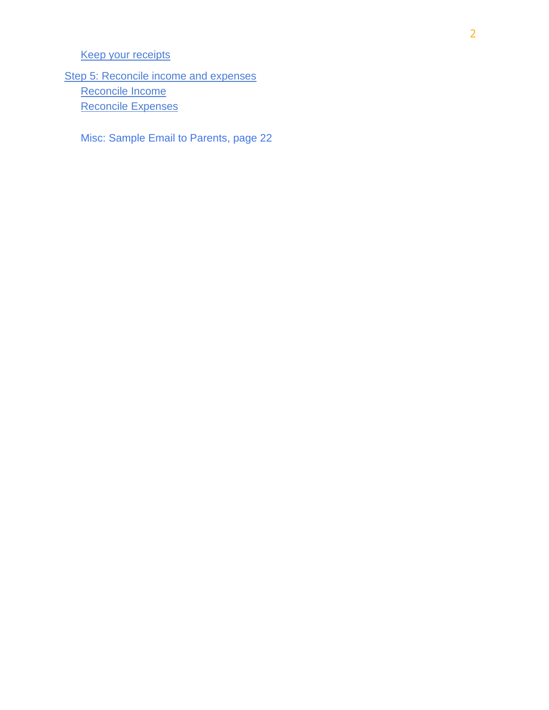#### [Keep your receipts](#page-19-1)

[Step 5: Reconcile income and expenses](#page-20-0) [Reconcile Income](#page-20-1) [Reconcile Expenses](#page-20-2)

<span id="page-2-0"></span>Misc: Sample Email to Parents, page 22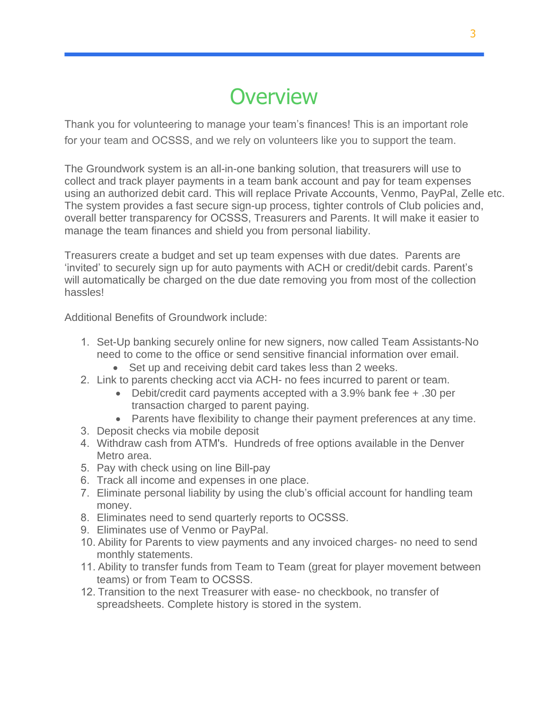## **Overview**

Thank you for volunteering to manage your team's finances! This is an important role for your team and OCSSS, and we rely on volunteers like you to support the team.

The Groundwork system is an all-in-one banking solution, that treasurers will use to collect and track player payments in a team bank account and pay for team expenses using an authorized debit card. This will replace Private Accounts, Venmo, PayPal, Zelle etc. The system provides a fast secure sign-up process, tighter controls of Club policies and, overall better transparency for OCSSS, Treasurers and Parents. It will make it easier to manage the team finances and shield you from personal liability.

Treasurers create a budget and set up team expenses with due dates. Parents are 'invited' to securely sign up for auto payments with ACH or credit/debit cards. Parent's will automatically be charged on the due date removing you from most of the collection hassles!

Additional Benefits of Groundwork include:

- 1. Set-Up banking securely online for new signers, now called Team Assistants-No need to come to the office or send sensitive financial information over email.
	- Set up and receiving debit card takes less than 2 weeks.
- 2. Link to parents checking acct via ACH- no fees incurred to parent or team.
	- Debit/credit card payments accepted with a 3.9% bank fee + .30 per transaction charged to parent paying.
	- Parents have flexibility to change their payment preferences at any time.
- 3. Deposit checks via mobile deposit
- 4. Withdraw cash from ATM's. Hundreds of free options available in the Denver Metro area.
- 5. Pay with check using on line Bill-pay
- 6. Track all income and expenses in one place.
- 7. Eliminate personal liability by using the club's official account for handling team money.
- 8. Eliminates need to send quarterly reports to OCSSS.
- 9. Eliminates use of Venmo or PayPal.
- 10. Ability for Parents to view payments and any invoiced charges- no need to send monthly statements.
- 11. Ability to transfer funds from Team to Team (great for player movement between teams) or from Team to OCSSS.
- 12. Transition to the next Treasurer with ease- no checkbook, no transfer of spreadsheets. Complete history is stored in the system.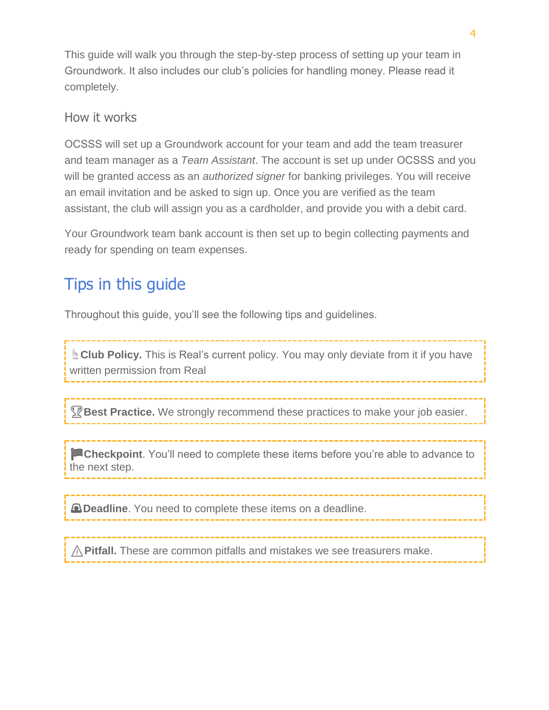This guide will walk you through the step-by-step process of setting up your team in Groundwork. It also includes our club's policies for handling money. Please read it completely.

#### <span id="page-4-0"></span>How it works

OCSSS will set up a Groundwork account for your team and add the team treasurer and team manager as a *Team Assistant*. The account is set up under OCSSS and you will be granted access as an *authorized signer* for banking privileges. You will receive an email invitation and be asked to sign up. Once you are verified as the team assistant, the club will assign you as a cardholder, and provide you with a debit card.

Your Groundwork team bank account is then set up to begin collecting payments and ready for spending on team expenses.

### <span id="page-4-1"></span>Tips in this guide

Throughout this guide, you'll see the following tips and guidelines.

☝**Club Policy.** This is Real's current policy. You may only deviate from it if you have written permission from Real

**Pest Practice.** We strongly recommend these practices to make your job easier.

**Checkpoint**. You'll need to complete these items before you're able to advance to the next step.

**A Deadline**. You need to complete these items on a deadline.

A Pitfall. These are common pitfalls and mistakes we see treasurers make.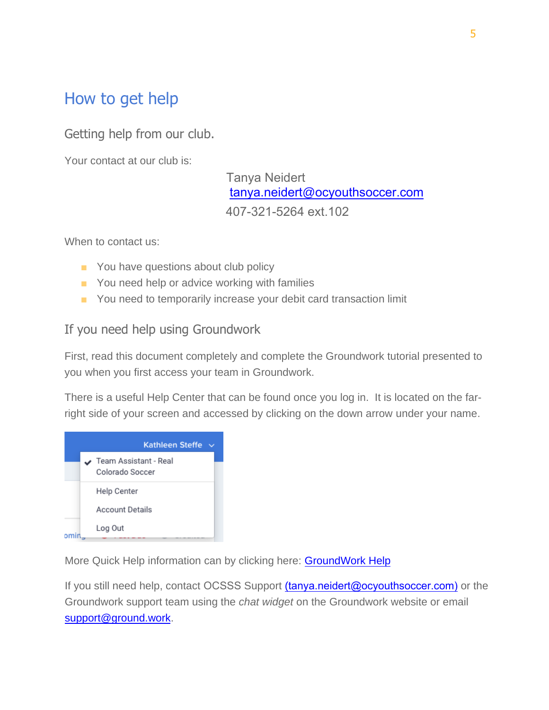### <span id="page-5-0"></span>How to get help

<span id="page-5-1"></span>Getting help from our club.

Your contact at our club is:

Tanya Neidert [tanya.neidert](mailto:tanya.neidert@ocyouthsoccer.com)@ocyouthsoccer.com 407-321-5264 ext.102

When to contact us:

- You have questions about club policy
- You need help or advice working with families
- You need to temporarily increase your debit card transaction limit

#### <span id="page-5-2"></span>If you need help using Groundwork

First, read this document completely and complete the Groundwork tutorial presented to you when you first access your team in Groundwork.

There is a useful Help Center that can be found once you log in. It is located on the farright side of your screen and accessed by clicking on the down arrow under your name.



More Quick Help information can by clicking here: [GroundWork Help](https://help.ground.work/support/solutions/articles/60000670322-getting-started-as-a-team-treasurer)

<span id="page-5-3"></span>If you still need help, contact OCSSS Support ([tanya.neidert@ocyouthsoccer.co](mailto:tanya.neidert@ocyouthsoccer.com)m) or the Groundwork support team using the *chat widget* on the Groundwork website or email [support@ground.work.](mailto:support@ground.work)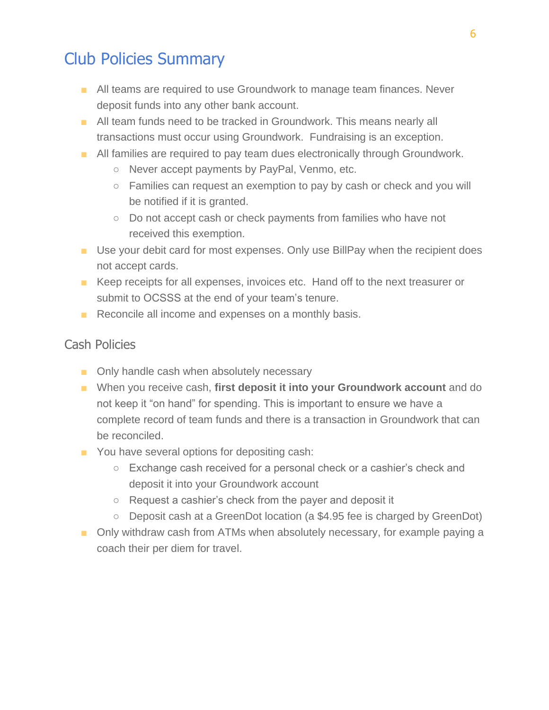#### Club Policies Summary

- All teams are required to use Groundwork to manage team finances. Never deposit funds into any other bank account.
- All team funds need to be tracked in Groundwork. This means nearly all transactions must occur using Groundwork. Fundraising is an exception.
- All families are required to pay team dues electronically through Groundwork.
	- Never accept payments by PayPal, Venmo, etc.
	- Families can request an exemption to pay by cash or check and you will be notified if it is granted.
	- Do not accept cash or check payments from families who have not received this exemption.
- Use your debit card for most expenses. Only use BillPay when the recipient does not accept cards.
- Keep receipts for all expenses, invoices etc. Hand off to the next treasurer or submit to OCSSS at the end of your team's tenure.
- Reconcile all income and expenses on a monthly basis.

#### Cash Policies

- Only handle cash when absolutely necessary
- When you receive cash, first deposit it into your Groundwork account and do not keep it "on hand" for spending. This is important to ensure we have a complete record of team funds and there is a transaction in Groundwork that can be reconciled.
- You have several options for depositing cash:
	- Exchange cash received for a personal check or a cashier's check and deposit it into your Groundwork account
	- Request a cashier's check from the payer and deposit it
	- Deposit cash at a GreenDot location (a \$4.95 fee is charged by GreenDot)
- Only withdraw cash from ATMs when absolutely necessary, for example paying a coach their per diem for travel.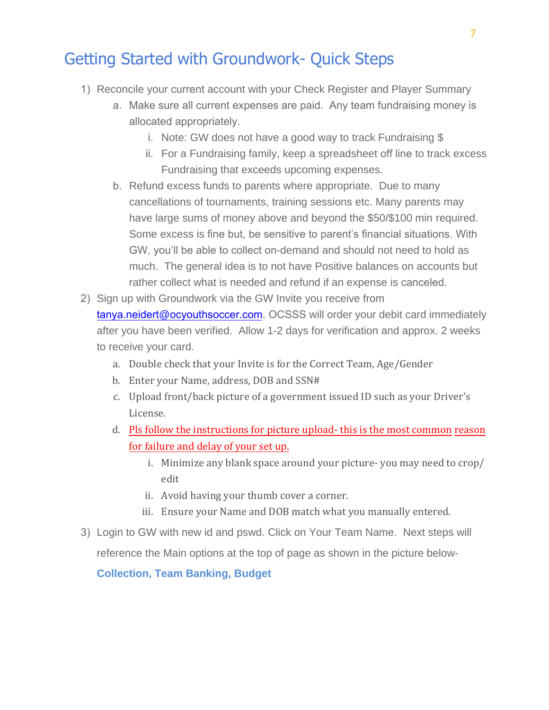### Getting Started with Groundwork- Quick Steps

- 1) Reconcile your current account with your Check Register and Player Summary
	- a. Make sure all current expenses are paid. Any team fundraising money is allocated appropriately.
		- i. Note: GW does not have a good way to track Fundraising \$
		- ii. For a Fundraising family, keep a spreadsheet off line to track excess Fundraising that exceeds upcoming expenses.
	- b. Refund excess funds to parents where appropriate. Due to many cancellations of tournaments, training sessions etc. Many parents may have large sums of money above and beyond the \$50/\$100 min required. Some excess is fine but, be sensitive to parent's financial situations. With GW, you'll be able to collect on-demand and should not need to hold as much. The general idea is to not have Positive balances on accounts but rather collect what is needed and refund if an expense is canceled.
- 2) Sign up with Groundwork via the GW Invite you receive from tanya.neidert@ocyouthsoccer.com. OCSSS will order your debit card immediately after you have been verified. Allow 1-2 days for verification and approx. 2 weeks to receive your card.
	- a. [Double check that your](mailto:realadmin@realcolorado.net) Invite is for the Correct Team, Age/Gender
	- b. Enter your Name, address, DOB and SSN#
	- c. Upload front/back picture of a government issued ID such as your Driver's License.
	- d. Pls follow the instructions for picture upload- this is the most common reason for failure and delay of your set up.
		- i. Minimize any blank space around your picture- you may need to crop/ edit
		- ii. Avoid having your thumb cover a corner.
		- iii. Ensure your Name and DOB match what you manually entered.
- 3) Login to GW with new id and pswd. Click on Your Team Name. Next steps will reference the Main options at the top of page as shown in the picture below-

**Collection, Team Banking, Budget**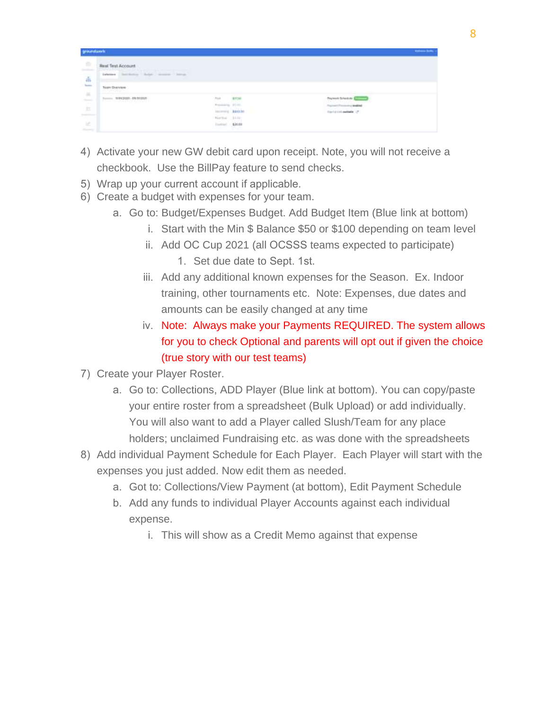| groundance.                                                                                              |                                                                               |                                                                            |        | <b>Selection State</b>             |  |  |
|----------------------------------------------------------------------------------------------------------|-------------------------------------------------------------------------------|----------------------------------------------------------------------------|--------|------------------------------------|--|--|
| ÷<br>$\frac{1}{2} \left( \frac{1}{2} \right) \left( \frac{1}{2} \right) \left( \frac{1}{2} \right)$<br>Ă | <b>Busi Test Account</b><br>Catarana - Barchistown - Ballan - Hormon - Barrow |                                                                            |        |                                    |  |  |
|                                                                                                          | Toshi Dyerylen<br>y UNIVERSITY                                                |                                                                            |        | <b>Common</b><br><b>CONTRACTOR</b> |  |  |
| $\frac{1}{\pi}$                                                                                          | Turney, 1974-2003 - ER/SE2221<br>and control and control                      | Total                                                                      | 811340 | Peterson's Technolicky             |  |  |
|                                                                                                          |                                                                               | Proposition 21.00-                                                         |        | Fourteen Processing Analysis       |  |  |
| 54,000                                                                                                   |                                                                               | Income MAKER                                                               |        | Equivalent exclusive (P)           |  |  |
| - -                                                                                                      |                                                                               | histing  Little                                                            |        |                                    |  |  |
| $-16$<br>Analysis of                                                                                     |                                                                               | $\begin{array}{ c c c c c c } \hline & \text{570.88} \\\hline \end{array}$ |        |                                    |  |  |

- 4) Activate your new GW debit card upon receipt. Note, you will not receive a checkbook. Use the BillPay feature to send checks.
- 5) Wrap up your current account if applicable.
- 6) Create a budget with expenses for your team.
	- a. Go to: Budget/Expenses Budget. Add Budget Item (Blue link at bottom)
		- i. Start with the Min \$ Balance \$50 or \$100 depending on team level
		- ii. Add OC Cup 2021 (all OCSSS teams expected to participate)
			- 1. Set due date to Sept. 1st.
		- iii. Add any additional known expenses for the Season. Ex. Indoor training, other tournaments etc. Note: Expenses, due dates and amounts can be easily changed at any time
		- iv. Note: Always make your Payments REQUIRED. The system allows for you to check Optional and parents will opt out if given the choice (true story with our test teams)
- 7) Create your Player Roster.
	- a. Go to: Collections, ADD Player (Blue link at bottom). You can copy/paste your entire roster from a spreadsheet (Bulk Upload) or add individually. You will also want to add a Player called Slush/Team for any place holders; unclaimed Fundraising etc. as was done with the spreadsheets
- 8) Add individual Payment Schedule for Each Player. Each Player will start with the expenses you just added. Now edit them as needed.
	- a. Got to: Collections/View Payment (at bottom), Edit Payment Schedule
	- b. Add any funds to individual Player Accounts against each individual expense.
		- i. This will show as a Credit Memo against that expense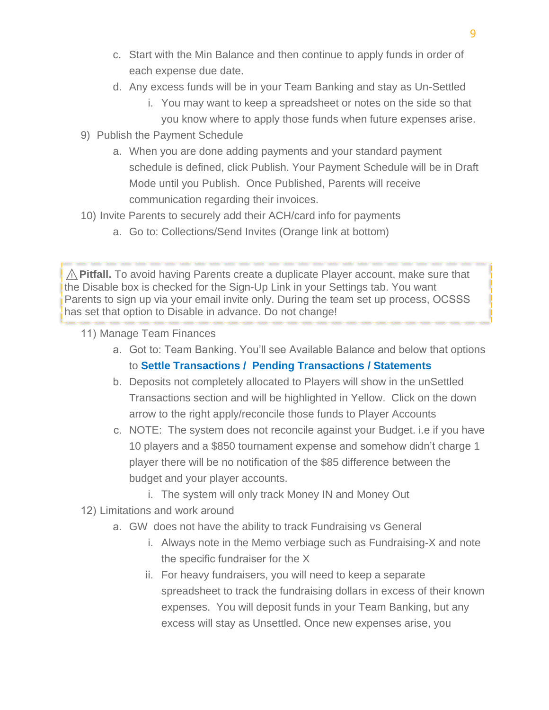- c. Start with the Min Balance and then continue to apply funds in order of each expense due date.
- d. Any excess funds will be in your Team Banking and stay as Un-Settled
	- i. You may want to keep a spreadsheet or notes on the side so that you know where to apply those funds when future expenses arise.
- 9) Publish the Payment Schedule
	- a. When you are done adding payments and your standard payment schedule is defined, click Publish. Your Payment Schedule will be in Draft Mode until you Publish. Once Published, Parents will receive communication regarding their invoices.
- 10) Invite Parents to securely add their ACH/card info for payments
	- a. Go to: Collections/Send Invites (Orange link at bottom)

⚠️**Pitfall.** To avoid having Parents create a duplicate Player account, make sure that the Disable box is checked for the Sign-Up Link in your Settings tab. You want Parents to sign up via your email invite only. During the team set up process, OCSSS has set that option to Disable in advance. Do not change!

- 11) Manage Team Finances
	- a. Got to: Team Banking. You'll see Available Balance and below that options to **Settle Transactions / Pending Transactions / Statements**
	- b. Deposits not completely allocated to Players will show in the unSettled Transactions section and will be highlighted in Yellow. Click on the down arrow to the right apply/reconcile those funds to Player Accounts
	- c. NOTE: The system does not reconcile against your Budget. i.e if you have 10 players and a \$850 tournament expense and somehow didn't charge 1 player there will be no notification of the \$85 difference between the budget and your player accounts.
		- i. The system will only track Money IN and Money Out
- 12) Limitations and work around
	- a. GW does not have the ability to track Fundraising vs General
		- i. Always note in the Memo verbiage such as Fundraising-X and note the specific fundraiser for the X
		- ii. For heavy fundraisers, you will need to keep a separate spreadsheet to track the fundraising dollars in excess of their known expenses. You will deposit funds in your Team Banking, but any excess will stay as Unsettled. Once new expenses arise, you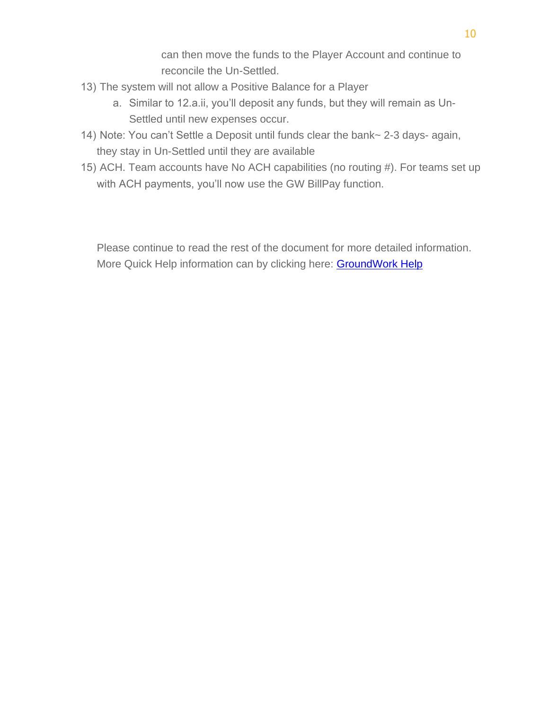can then move the funds to the Player Account and continue to reconcile the Un-Settled.

- 13) The system will not allow a Positive Balance for a Player
	- a. Similar to 12.a.ii, you'll deposit any funds, but they will remain as Un-Settled until new expenses occur.
- 14) Note: You can't Settle a Deposit until funds clear the bank~ 2-3 days- again, they stay in Un-Settled until they are available
- 15) ACH. Team accounts have No ACH capabilities (no routing #). For teams set up with ACH payments, you'll now use the GW BillPay function.

Please continue to read the rest of the document for more detailed information. More Quick Help information can by clicking here: **GroundWork Help**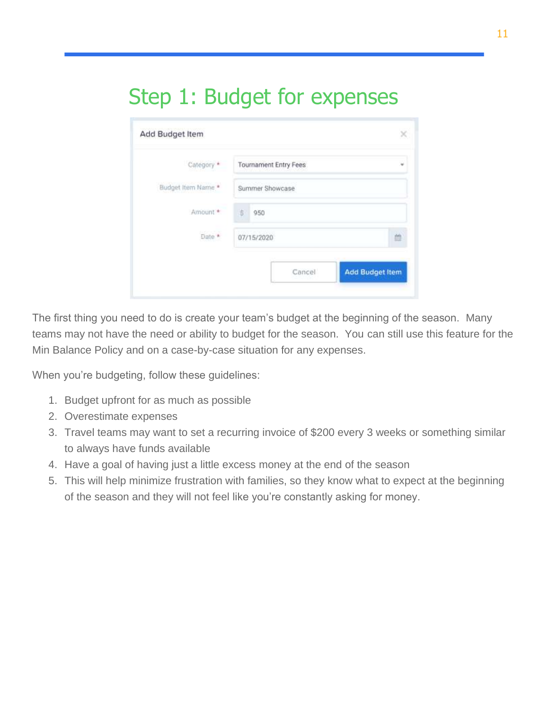## Step 1: Budget for expenses

| Category *                  | Tournament Entry Fees |   |
|-----------------------------|-----------------------|---|
| Budget Item Name *          | Summer Showcase       |   |
| Amount +                    | 3<br>950              |   |
| <b>CONTRACTOR</b><br>Date * | 07/15/2020            | 首 |

The first thing you need to do is create your team's budget at the beginning of the season. Many teams may not have the need or ability to budget for the season. You can still use this feature for the Min Balance Policy and on a case-by-case situation for any expenses.

When you're budgeting, follow these guidelines:

- 1. Budget upfront for as much as possible
- 2. Overestimate expenses
- 3. Travel teams may want to set a recurring invoice of \$200 every 3 weeks or something similar to always have funds available
- 4. Have a goal of having just a little excess money at the end of the season
- 5. This will help minimize frustration with families, so they know what to expect at the beginning of the season and they will not feel like you're constantly asking for money.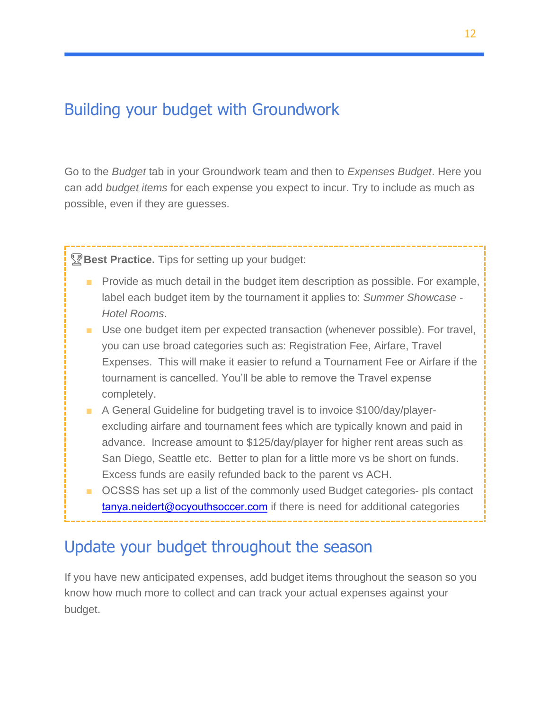### <span id="page-12-1"></span><span id="page-12-0"></span>Building your budget with Groundwork

Go to the *Budget* tab in your Groundwork team and then to *Expenses Budget*. Here you can add *budget items* for each expense you expect to incur. Try to include as much as possible, even if they are guesses.

**Pest Practice.** Tips for setting up your budget:

- Provide as much detail in the budget item description as possible. For example, label each budget item by the tournament it applies to: *Summer Showcase - Hotel Rooms*.
- Use one budget item per expected transaction (whenever possible). For travel, you can use broad categories such as: Registration Fee, Airfare, Travel Expenses. This will make it easier to refund a Tournament Fee or Airfare if the tournament is cancelled. You'll be able to remove the Travel expense completely.
- A General Guideline for budgeting travel is to invoice \$100/day/playerexcluding airfare and tournament fees which are typically known and paid in advance. Increase amount to \$125/day/player for higher rent areas such as San Diego, Seattle etc. Better to plan for a little more vs be short on funds. Excess funds are easily refunded back to the parent vs ACH.
- OCSSS has set up a list of the commonly used Budget categories- pls contact tanya.neidert@[ocyouthsocce](mailto:tanya.neidert@ocyouthsoccer.com)r.com if there is need for additional categories

### <span id="page-12-2"></span>Update your budget throughout the season

If you have new anticipated expenses, add budget items throughout the season so you know how much more to collect and can track your actual expenses against your budget.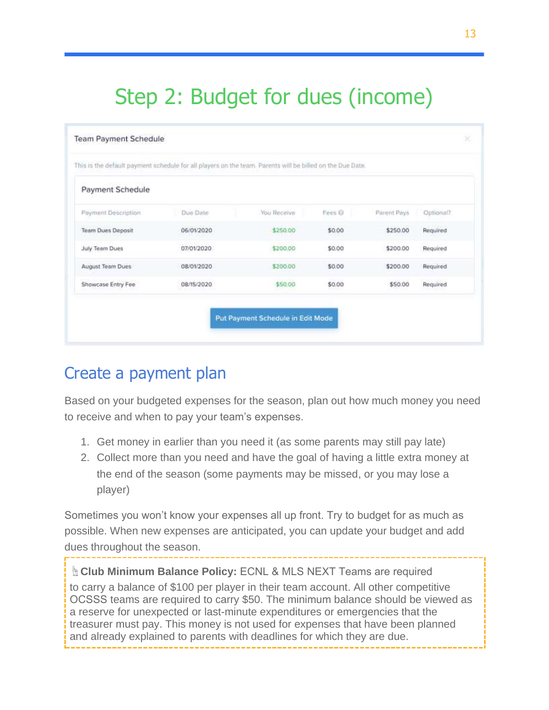## <span id="page-13-0"></span>Step 2: Budget for dues (income)

| Payment Schedule         |            |             |        |             |           |
|--------------------------|------------|-------------|--------|-------------|-----------|
| Payment Description      | Due Date   | You Receive | Fees @ | Parent Pays | Optional? |
| <b>Team Dues Deposit</b> | 06/01/2020 | \$250.00    | \$0.00 | \$250.00    | Required  |
| July Team Dues           | 07/01/2020 | \$200.00    | \$0.00 | \$200.00    | Required  |
| August Team Dues         | 08/01/2020 | \$200.00    | \$0.00 | \$200.00    | Required  |
| Showcase Entry Fee       | 08/15/2020 | \$50.00     | \$0.00 | \$50.00     | Required  |

### <span id="page-13-1"></span>Create a payment plan

Based on your budgeted expenses for the season, plan out how much money you need to receive and when to pay your team's expenses.

- 1. Get money in earlier than you need it (as some parents may still pay late)
- 2. Collect more than you need and have the goal of having a little extra money at the end of the season (some payments may be missed, or you may lose a player)

Sometimes you won't know your expenses all up front. Try to budget for as much as possible. When new expenses are anticipated, you can update your budget and add dues throughout the season.

☝**Club Minimum Balance Policy:** ECNL & MLS NEXT Teams are required to carry a balance of \$100 per player in their team account. All other competitive OCSSS teams are required to carry \$50. The minimum balance should be viewed as a reserve for unexpected or last-minute expenditures or emergencies that the treasurer must pay. This money is not used for expenses that have been planned and already explained to parents with deadlines for which they are due.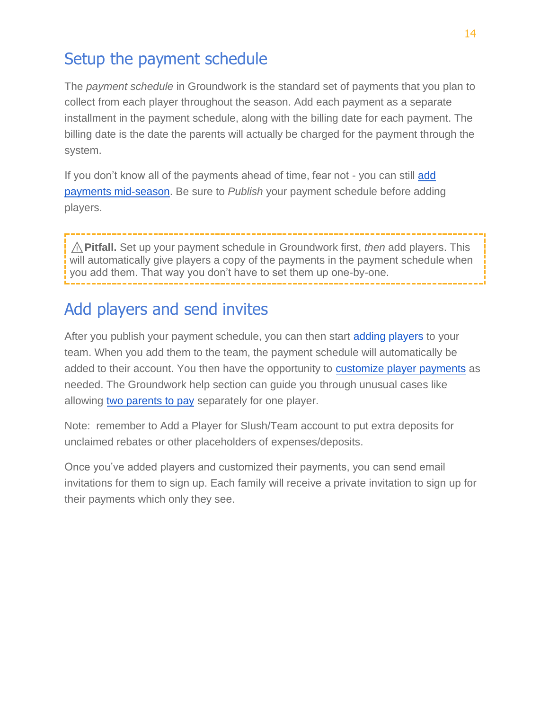## <span id="page-14-0"></span>Setup the payment schedule

The *payment schedule* in Groundwork is the standard set of payments that you plan to collect from each player throughout the season. Add each payment as a separate installment in the payment schedule, along with the billing date for each payment. The billing date is the date the parents will actually be charged for the payment through the system.

If you don't know all of the payments ahead of time, fear not - you can still add [payments mid-season.](https://help.ground.work/support/solutions/articles/60000660897-how-do-i-add-edit-payments-mid-season-after-payment-schedule-is-published-) Be sure to *Publish* your payment schedule before adding players.

⚠️**Pitfall.** Set up your payment schedule in Groundwork first, *then* add players. This will automatically give players a copy of the payments in the payment schedule when you add them. That way you don't have to set them up one-by-one.

#### <span id="page-14-1"></span>Add players and send invites

After you publish your payment schedule, you can then start [adding players](https://help.ground.work/support/solutions/articles/60000660909) to your team. When you add them to the team, the payment schedule will automatically be added to their account. You then have the opportunity to [customize player payments](https://help.ground.work/support/solutions/articles/60000660894-how-do-i-customize-payments-for-a-player-) as needed. The Groundwork help section can guide you through unusual cases like allowing [two parents to pay](https://help.ground.work/support/solutions/articles/60000660898-allowing-two-parents-to-pay-separately-for-one-player) separately for one player.

Note: remember to Add a Player for Slush/Team account to put extra deposits for unclaimed rebates or other placeholders of expenses/deposits.

Once you've added players and customized their payments, you can send email invitations for them to sign up. Each family will receive a private invitation to sign up for their payments which only they see.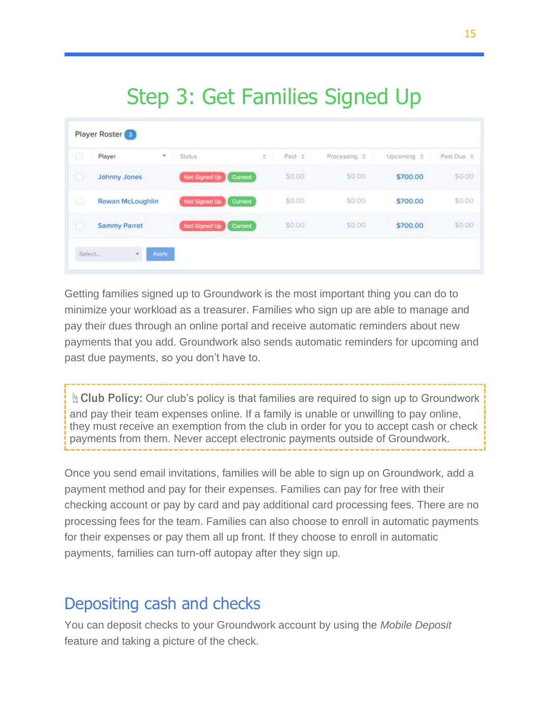## Step 3: Get Families Signed Up

<span id="page-15-0"></span>

| o | Player<br>٠         | Status.                  | ÷. | Paid 0 | Processing $\Rightarrow$    | Upcoming #                                 | Past Due |
|---|---------------------|--------------------------|----|--------|-----------------------------|--------------------------------------------|----------|
| O | Johnny Jones        | Not Signed Up Current    |    | \$0.00 | \$0.00                      | \$700.00                                   | \$0.00   |
| o | Rowan McLoughlin    | Not Signed Up<br>Current |    | \$0.00 | <b>CONTRACTOR</b><br>\$0.00 | \$700.00                                   | \$0.00   |
| ю | <b>Sammy Parret</b> | Not Signed Up Current    |    | \$0.00 | \$0.00                      | <b>Service Angels for News</b><br>\$700.00 | \$0.00   |

Getting families signed up to Groundwork is the most important thing you can do to minimize your workload as a treasurer. Families who sign up are able to manage and pay their dues through an online portal and receive automatic reminders about new payments that you add. Groundwork also sends automatic reminders for upcoming and past due payments, so you don't have to.

**☝Club Policy:** Our club's policy is that families are required to sign up to Groundwork and pay their team expenses online. If a family is unable or unwilling to pay online, they must receive an exemption from the club in order for you to accept cash or check payments from them. Never accept electronic payments outside of Groundwork.

Once you send email invitations, families will be able to sign up on Groundwork, add a payment method and pay for their expenses. Families can pay for free with their checking account or pay by card and pay additional card processing fees. There are no processing fees for the team. Families can also choose to enroll in automatic payments for their expenses or pay them all up front. If they choose to enroll in automatic payments, families can turn-off autopay after they sign up.

#### <span id="page-15-1"></span>Depositing cash and checks

You can deposit checks to your Groundwork account by using the *Mobile Deposit* feature and taking a picture of the check.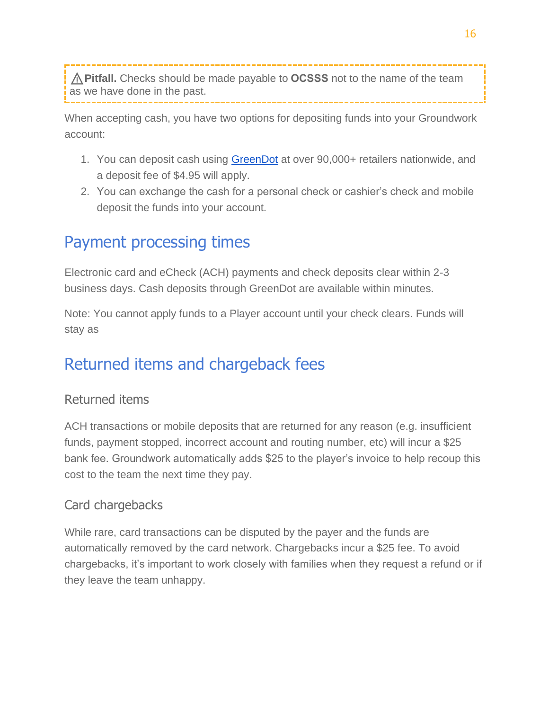⚠️**Pitfall.** Checks should be made payable to **OCSSS** not to the name of the team as we have done in the past.

When accepting cash, you have two options for depositing funds into your Groundwork account:

- 1. You can deposit cash using [GreenDot](https://www.greendot.com/for-people/deposit-money/add-cash) at over 90,000+ retailers nationwide, and a deposit fee of \$4.95 will apply.
- <span id="page-16-0"></span>2. You can exchange the cash for a personal check or cashier's check and mobile deposit the funds into your account.

### Payment processing times

Electronic card and eCheck (ACH) payments and check deposits clear within 2-3 business days. Cash deposits through GreenDot are available within minutes.

Note: You cannot apply funds to a Player account until your check clears. Funds will stay as

### <span id="page-16-1"></span>Returned items and chargeback fees

#### <span id="page-16-2"></span>Returned items

ACH transactions or mobile deposits that are returned for any reason (e.g. insufficient funds, payment stopped, incorrect account and routing number, etc) will incur a \$25 bank fee. Groundwork automatically adds \$25 to the player's invoice to help recoup this cost to the team the next time they pay.

#### <span id="page-16-3"></span>Card chargebacks

While rare, card transactions can be disputed by the payer and the funds are automatically removed by the card network. Chargebacks incur a \$25 fee. To avoid chargebacks, it's important to work closely with families when they request a refund or if they leave the team unhappy.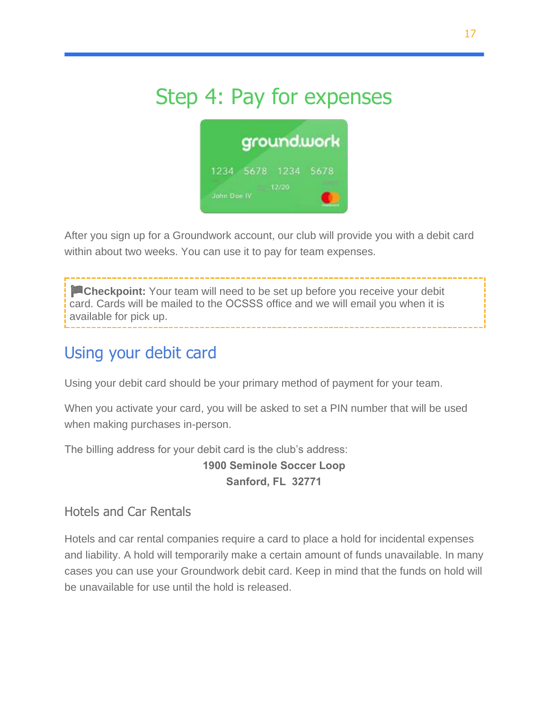## <span id="page-17-0"></span>Step 4: Pay for expenses



After you sign up for a Groundwork account, our club will provide you with a debit card within about two weeks. You can use it to pay for team expenses.

**Checkpoint:** Your team will need to be set up before you receive your debit card. Cards will be mailed to the OCSSS office and we will email you when it is available for pick up.

## <span id="page-17-1"></span>Using your debit card

Using your debit card should be your primary method of payment for your team.

When you activate your card, you will be asked to set a PIN number that will be used when making purchases in-person.

The billing address for your debit card is the club's address:

**1900 Seminole Soccer Loop Sanford, FL 32771**

<span id="page-17-2"></span>Hotels and Car Rentals

Hotels and car rental companies require a card to place a hold for incidental expenses and liability. A hold will temporarily make a certain amount of funds unavailable. In many cases you can use your Groundwork debit card. Keep in mind that the funds on hold will be unavailable for use until the hold is released.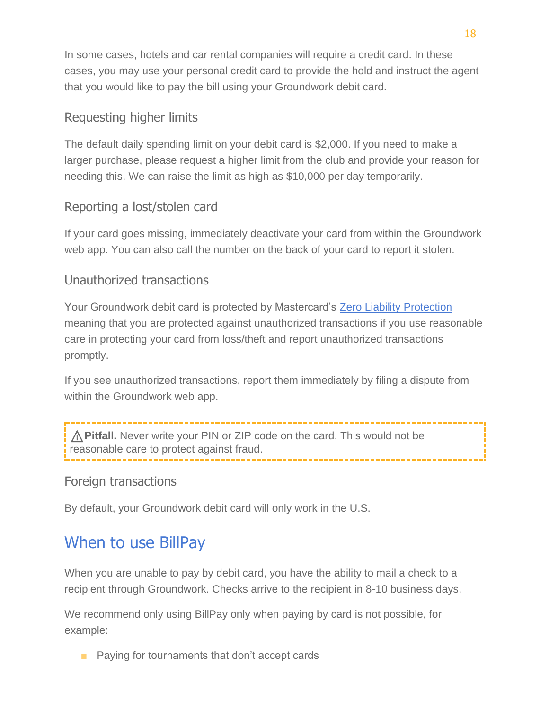In some cases, hotels and car rental companies will require a credit card. In these cases, you may use your personal credit card to provide the hold and instruct the agent that you would like to pay the bill using your Groundwork debit card.

#### <span id="page-18-0"></span>Requesting higher limits

The default daily spending limit on your debit card is \$2,000. If you need to make a larger purchase, please request a higher limit from the club and provide your reason for needing this. We can raise the limit as high as \$10,000 per day temporarily.

#### <span id="page-18-1"></span>Reporting a lost/stolen card

If your card goes missing, immediately deactivate your card from within the Groundwork web app. You can also call the number on the back of your card to report it stolen.

#### <span id="page-18-2"></span>Unauthorized transactions

Your Groundwork debit card is protected by Mastercard's [Zero Liability Protection](https://www.mastercard.us/en-us/personal/get-support/zero-liability-terms-conditions.html) meaning that you are protected against unauthorized transactions if you use reasonable care in protecting your card from loss/theft and report unauthorized transactions promptly.

If you see unauthorized transactions, report them immediately by filing a dispute from within the Groundwork web app.

⚠️**Pitfall.** Never write your PIN or ZIP code on the card. This would not be reasonable care to protect against fraud.

#### <span id="page-18-3"></span>Foreign transactions

By default, your Groundwork debit card will only work in the U.S.

## <span id="page-18-4"></span>When to use BillPay

When you are unable to pay by debit card, you have the ability to mail a check to a recipient through Groundwork. Checks arrive to the recipient in 8-10 business days.

We recommend only using BillPay only when paying by card is not possible, for example:

■ Paying for tournaments that don't accept cards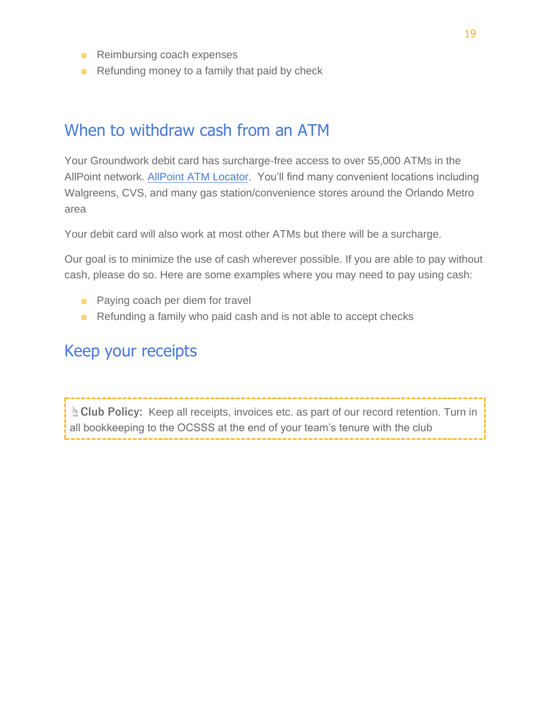- Reimbursing coach expenses
- $\blacksquare$  Refunding money to a family that paid by check

#### <span id="page-19-0"></span>When to withdraw cash from an ATM

Your Groundwork debit card has surcharge-free access to over 55,000 ATMs in the AllPoint network[. AllPoint ATM Locator.](https://www.allpointnetwork.com/locator.aspx) You'll find many convenient locations including Walgreens, CVS, and many gas station/convenience stores around the Orlando Metro area

Your debit card will also work at most other ATMs but there will be a surcharge.

Our goal is to minimize the use of cash wherever possible. If you are able to pay without cash, please do so. Here are some examples where you may need to pay using cash:

- Paying coach per diem for travel
- Refunding a family who paid cash and is not able to accept checks

#### <span id="page-19-1"></span>Keep your receipts

**☝Club Policy:** Keep all receipts, invoices etc. as part of our record retention. Turn in all bookkeeping to the OCSSS at the end of your team's tenure with the club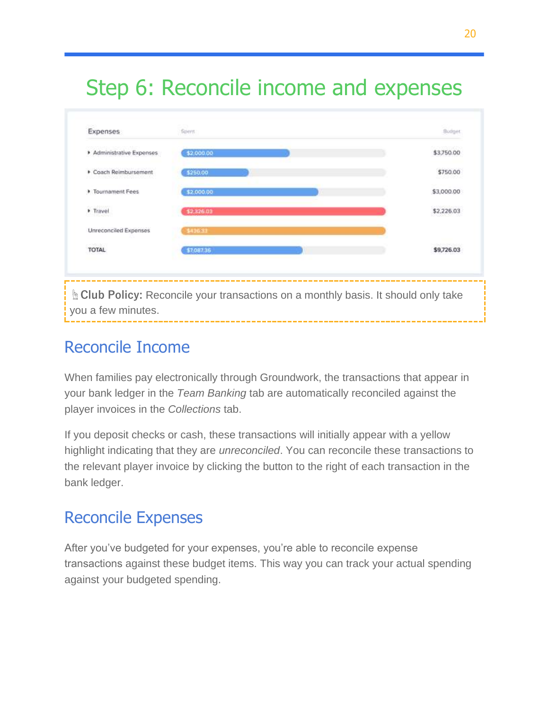## <span id="page-20-0"></span>Step 6: Reconcile income and expenses



### <span id="page-20-1"></span>Reconcile Income

When families pay electronically through Groundwork, the transactions that appear in your bank ledger in the *Team Banking* tab are automatically reconciled against the player invoices in the *Collections* tab.

If you deposit checks or cash, these transactions will initially appear with a yellow highlight indicating that they are *unreconciled*. You can reconcile these transactions to the relevant player invoice by clicking the button to the right of each transaction in the bank ledger.

### <span id="page-20-2"></span>Reconcile Expenses

After you've budgeted for your expenses, you're able to reconcile expense transactions against these budget items. This way you can track your actual spending against your budgeted spending.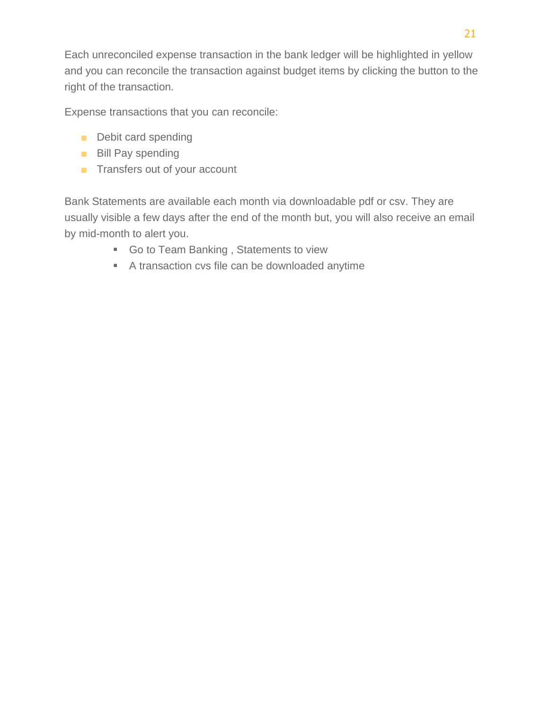Each unreconciled expense transaction in the bank ledger will be highlighted in yellow and you can reconcile the transaction against budget items by clicking the button to the right of the transaction.

Expense transactions that you can reconcile:

- Debit card spending
- Bill Pay spending
- Transfers out of your account

Bank Statements are available each month via downloadable pdf or csv. They are usually visible a few days after the end of the month but, you will also receive an email by mid-month to alert you.

- Go to Team Banking, Statements to view
- A transaction cvs file can be downloaded anytime